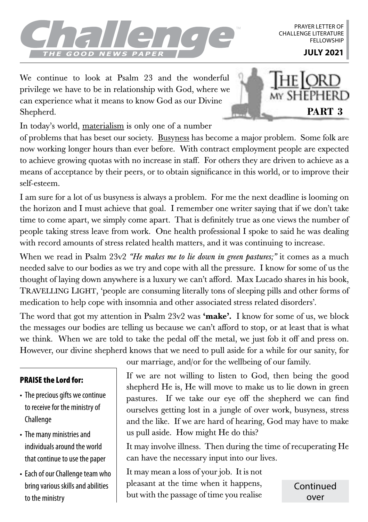

PRAYER LETTER OF CHALLENGE LITERATURE **FFLLOWSHIP** 

We continue to look at Psalm 23 and the wonderful privilege we have to be in relationship with God, where we can experience what it means to know God as our Divine Shepherd.



In today's world, materialism is only one of a number

of problems that has beset our society. Busyness has become a major problem. Some folk are now working longer hours than ever before. With contract employment people are expected to achieve growing quotas with no increase in staff. For others they are driven to achieve as a means of acceptance by their peers, or to obtain significance in this world, or to improve their self-esteem.

I am sure for a lot of us busyness is always a problem. For me the next deadline is looming on the horizon and I must achieve that goal. I remember one writer saying that if we don't take time to come apart, we simply come apart. That is definitely true as one views the number of people taking stress leave from work. One health professional I spoke to said he was dealing with record amounts of stress related health matters, and it was continuing to increase.

When we read in Psalm 23v2 *"He makes me to lie down in green pastures;"* it comes as a much needed salve to our bodies as we try and cope with all the pressure. I know for some of us the thought of laying down anywhere is a luxury we can't afford. Max Lucado shares in his book, TRAVELLING LIGHT, 'people are consuming literally tons of sleeping pills and other forms of medication to help cope with insomnia and other associated stress related disorders'.

The word that got my attention in Psalm  $23v2$  was 'make'. I know for some of us, we block the messages our bodies are telling us because we can't afford to stop, or at least that is what we think. When we are told to take the pedal off the metal, we just fob it off and press on. However, our divine shepherd knows that we need to pull aside for a while for our sanity, for

## PRAISE the Lord for:

- The precious gifts we continue to receive for the ministry of Challenge
- The many ministries and individuals around the world that continue to use the paper
- Each of our Challenge team who bring various skills and abilities to the ministry

our marriage, and/or for the wellbeing of our family.

If we are not willing to listen to God, then being the good shepherd He is, He will move to make us to lie down in green pastures. If we take our eye off the shepherd we can find ourselves getting lost in a jungle of over work, busyness, stress and the like. If we are hard of hearing, God may have to make us pull aside. How might He do this?

It may involve illness. Then during the time of recuperating He can have the necessary input into our lives.

It may mean a loss of your job. It is not pleasant at the time when it happens, but with the passage of time you realise

**Continued** over